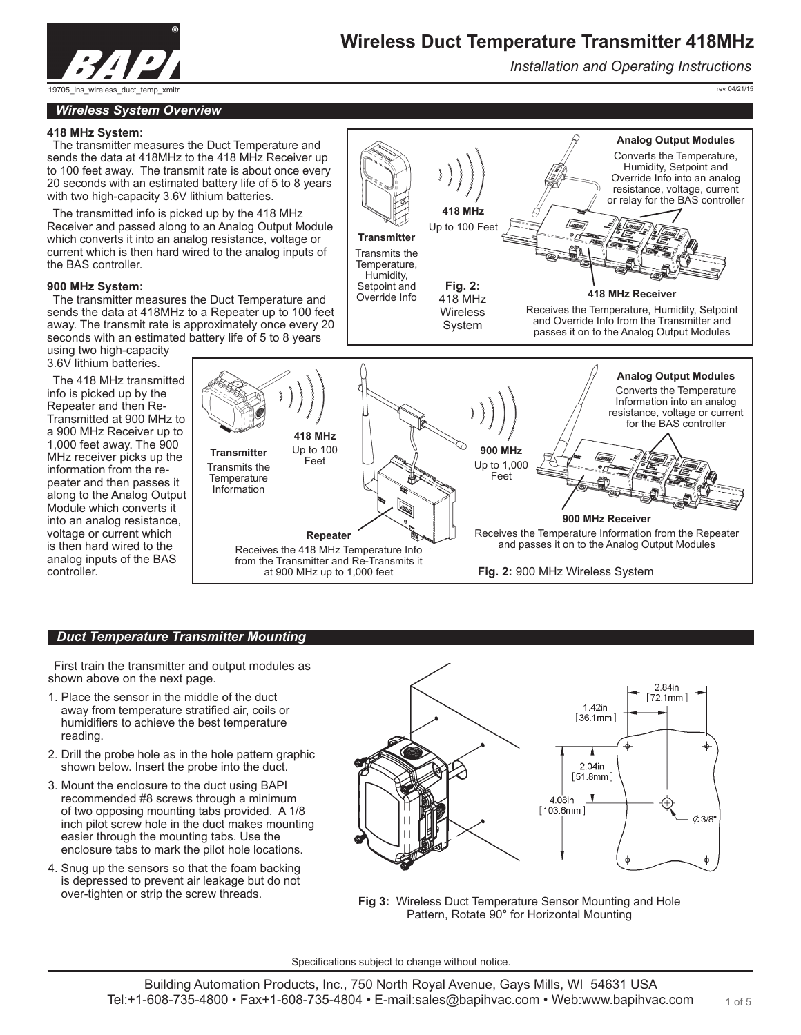

*Installation and Operating Instructions*

19705\_ins\_wireless\_duct\_temp\_xmit

rev. 04/21/15

#### *Wireless System Overview*

#### **418 MHz System:**

The transmitter measures the Duct Temperature and sends the data at 418MHz to the 418 MHz Receiver up to 100 feet away. The transmit rate is about once every 20 seconds with an estimated battery life of 5 to 8 years with two high-capacity 3.6V lithium batteries.

The transmitted info is picked up by the 418 MHz Receiver and passed along to an Analog Output Module which converts it into an analog resistance, voltage or current which is then hard wired to the analog inputs of the BAS controller.

#### **900 MHz System:**

The transmitter measures the Duct Temperature and sends the data at 418MHz to a Repeater up to 100 feet away. The transmit rate is approximately once every 20 seconds with an estimated battery life of 5 to 8 years

using two high-capacity 3.6V lithium batteries.

The 418 MHz transmitted info is picked up by the Repeater and then Re-Transmitted at 900 MHz to a 900 MHz Receiver up to 1,000 feet away. The 900 MHz receiver picks up the information from the repeater and then passes it along to the Analog Output Module which converts it into an analog resistance, voltage or current which is then hard wired to the analog inputs of the BAS controller.



#### *Duct Temperature Transmitter Mounting*

First train the transmitter and output modules as shown above on the next page.

- 1. Place the sensor in the middle of the duct away from temperature stratified air, coils or humidifiers to achieve the best temperature reading.
- 2. Drill the probe hole as in the hole pattern graphic shown below. Insert the probe into the duct.
- 3. Mount the enclosure to the duct using BAPI recommended #8 screws through a minimum of two opposing mounting tabs provided. A 1/8 inch pilot screw hole in the duct makes mounting easier through the mounting tabs. Use the enclosure tabs to mark the pilot hole locations.
- 4. Snug up the sensors so that the foam backing is depressed to prevent air leakage but do not over-tighten or strip the screw threads.



**Fig 3:** Wireless Duct Temperature Sensor Mounting and Hole Pattern, Rotate 90° for Horizontal Mounting

Specifications subject to change without notice.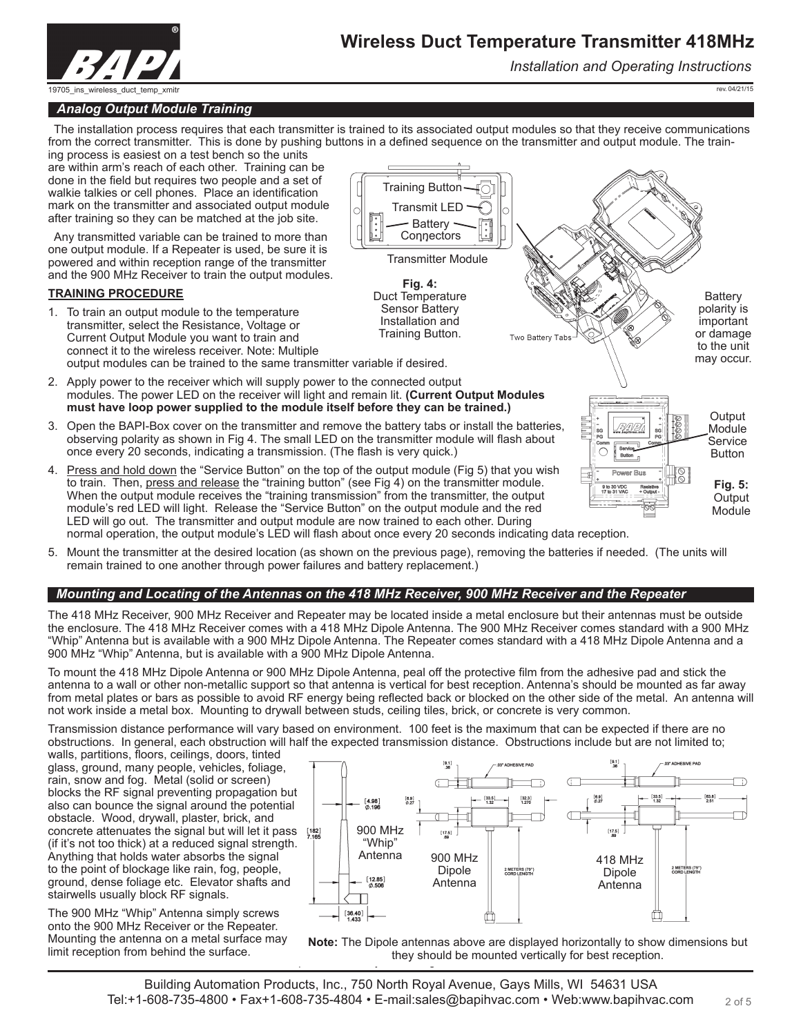

*Installation and Operating Instructions*

rev. 04/21/15

## *Analog Output Module Training*

The installation process requires that each transmitter is trained to its associated output modules so that they receive communications from the correct transmitter. This is done by pushing buttons in a defined sequence on the transmitter and output module. The train-

 $\circ$ 

Training Button Transmit LED

**Battery Connectors** Transmitter Module

**Fig. 4:**  Duct Temperature Sensor Battery Installation and Training Button.

ing process is easiest on a test bench so the units are within arm's reach of each other. Training can be done in the field but requires two people and a set of walkie talkies or cell phones. Place an identification mark on the transmitter and associated output module after training so they can be matched at the job site.

Any transmitted variable can be trained to more than one output module. If a Repeater is used, be sure it is powered and within reception range of the transmitter and the 900 MHz Receiver to train the output modules.

#### **TRAINING PROCEDURE**

- 1. To train an output module to the temperature transmitter, select the Resistance, Voltage or Current Output Module you want to train and connect it to the wireless receiver. Note: Multiple output modules can be trained to the same transmitter variable if desired.
- 2. Apply power to the receiver which will supply power to the connected output modules. The power LED on the receiver will light and remain lit. **(Current Output Modules must have loop power supplied to the module itself before they can be trained.)**
- 3. Open the BAPI-Box cover on the transmitter and remove the battery tabs or install the batteries, observing polarity as shown in Fig 4. The small LED on the transmitter module will flash about once every 20 seconds, indicating a transmission. (The flash is very quick.)
- 4. Press and hold down the "Service Button" on the top of the output module (Fig 5) that you wish to train. Then, press and release the "training button" (see Fig 4) on the transmitter module. When the output module receives the "training transmission" from the transmitter, the output module's red LED will light. Release the "Service Button" on the output module and the red LED will go out. The transmitter and output module are now trained to each other. During normal operation, the output module's LED will flash about once every 20 seconds indicating data reception.



5. Mount the transmitter at the desired location (as shown on the previous page), removing the batteries if needed. (The units will remain trained to one another through power failures and battery replacement.)

## *Mounting and Locating of the Antennas on the 418 MHz Receiver, 900 MHz Receiver and the Repeater*

The 418 MHz Receiver, 900 MHz Receiver and Repeater may be located inside a metal enclosure but their antennas must be outside the enclosure. The 418 MHz Receiver comes with a 418 MHz Dipole Antenna. The 900 MHz Receiver comes standard with a 900 MHz "Whip" Antenna but is available with a 900 MHz Dipole Antenna. The Repeater comes standard with a 418 MHz Dipole Antenna and a 900 MHz "Whip" Antenna, but is available with a 900 MHz Dipole Antenna.

To mount the 418 MHz Dipole Antenna or 900 MHz Dipole Antenna, peal off the protective film from the adhesive pad and stick the antenna to a wall or other non-metallic support so that antenna is vertical for best reception. Antenna's should be mounted as far away from metal plates or bars as possible to avoid RF energy being reflected back or blocked on the other side of the metal. An antenna will not work inside a metal box. Mounting to drywall between studs, ceiling tiles, brick, or concrete is very common.

Transmission distance performance will vary based on environment. 100 feet is the maximum that can be expected if there are no obstructions. In general, each obstruction will half the expected transmission distance. Obstructions include but are not limited to;

walls, partitions, floors, ceilings, doors, tinted glass, ground, many people, vehicles, foliage, rain, snow and fog. Metal (solid or screen) blocks the RF signal preventing propagation but also can bounce the signal around the potential obstacle. Wood, drywall, plaster, brick, and concrete attenuates the signal but will let it pass  $[182]$ (if it's not too thick) at a reduced signal strength. Anything that holds water absorbs the signal to the point of blockage like rain, fog, people, ground, dense foliage etc. Elevator shafts and stairwells usually block RF signals.

The 900 MHz "Whip" Antenna simply screws onto the 900 MHz Receiver or the Repeater. Mounting the antenna on a metal surface may limit reception from behind the surface.



they should be mounted vertically for best reception. **Note:** The Dipole antennas above are displayed horizontally to show dimensions but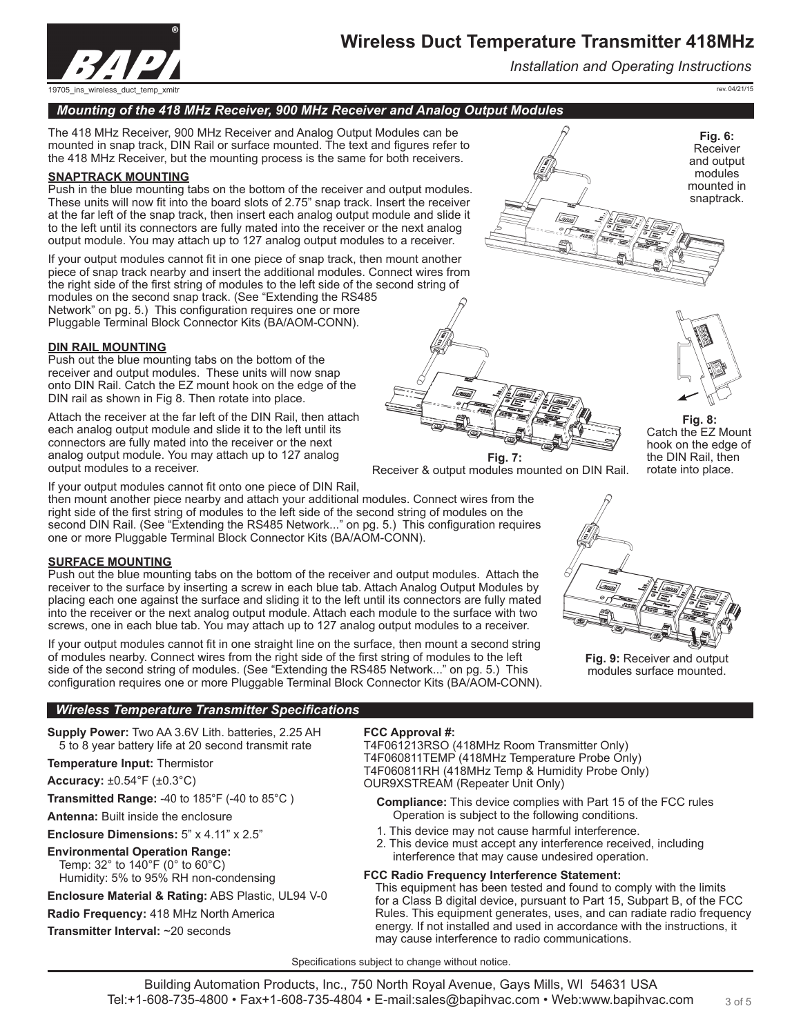

*Installation and Operating Instructions*

rev. 04/21/15

## *Mounting of the 418 MHz Receiver, 900 MHz Receiver and Analog Output Modules*

The 418 MHz Receiver, 900 MHz Receiver and Analog Output Modules can be mounted in snap track, DIN Rail or surface mounted. The text and figures refer to the 418 MHz Receiver, but the mounting process is the same for both receivers.

#### **SNAPTRACK MOUNTING**

Push in the blue mounting tabs on the bottom of the receiver and output modules. These units will now fit into the board slots of 2.75" snap track. Insert the receiver at the far left of the snap track, then insert each analog output module and slide it to the left until its connectors are fully mated into the receiver or the next analog output module. You may attach up to 127 analog output modules to a receiver.

If your output modules cannot fit in one piece of snap track, then mount another piece of snap track nearby and insert the additional modules. Connect wires from the right side of the first string of modules to the left side of the second string of modules on the second snap track. (See "Extending the RS485 Network" on pg. 5.) This configuration requires one or more Pluggable Terminal Block Connector Kits (BA/AOM-CONN).

#### **DIN RAIL MOUNTING**

Push out the blue mounting tabs on the bottom of the receiver and output modules. These units will now snap onto DIN Rail. Catch the EZ mount hook on the edge of the DIN rail as shown in Fig 8. Then rotate into place.

Attach the receiver at the far left of the DIN Rail, then attach each analog output module and slide it to the left until its connectors are fully mated into the receiver or the next analog output module. You may attach up to 127 analog output modules to a receiver.

If your output modules cannot fit onto one piece of DIN Rail,

then mount another piece nearby and attach your additional modules. Connect wires from the right side of the first string of modules to the left side of the second string of modules on the second DIN Rail. (See "Extending the RS485 Network..." on pg. 5.) This configuration requires one or more Pluggable Terminal Block Connector Kits (BA/AOM-CONN).

## **SURFACE MOUNTING**

Push out the blue mounting tabs on the bottom of the receiver and output modules. Attach the receiver to the surface by inserting a screw in each blue tab. Attach Analog Output Modules by placing each one against the surface and sliding it to the left until its connectors are fully mated into the receiver or the next analog output module. Attach each module to the surface with two screws, one in each blue tab. You may attach up to 127 analog output modules to a receiver.

If your output modules cannot fit in one straight line on the surface, then mount a second string of modules nearby. Connect wires from the right side of the first string of modules to the left side of the second string of modules. (See "Extending the RS485 Network..." on pg. 5.) This configuration requires one or more Pluggable Terminal Block Connector Kits (BA/AOM-CONN).

## *Wireless Temperature Transmitter Specifications*

**Supply Power:** Two AA 3.6V Lith. batteries, 2.25 AH 5 to 8 year battery life at 20 second transmit rate

#### **Temperature Input:** Thermistor

**Accuracy:** ±0.54°F (±0.3°C)

**Transmitted Range:** -40 to 185°F (-40 to 85°C )

**Antenna:** Built inside the enclosure

**Enclosure Dimensions:** 5" x 4.11" x 2.5"

## **Environmental Operation Range:**

Temp: 32° to 140°F (0° to 60°C) Humidity: 5% to 95% RH non-condensing

**Enclosure Material & Rating:** ABS Plastic, UL94 V-0

**Radio Frequency:** 418 MHz North America

**Transmitter Interval:** ~20 seconds

#### **FCC Approval #:**

T4F061213RSO (418MHz Room Transmitter Only) T4F060811TEMP (418MHz Temperature Probe Only) T4F060811RH (418MHz Temp & Humidity Probe Only) OUR9XSTREAM (Repeater Unit Only)

**Fig. 7:**  Receiver & output modules mounted on DIN Rail.

**Compliance:** This device complies with Part 15 of the FCC rules Operation is subject to the following conditions.

- 1. This device may not cause harmful interference.
- 2. This device must accept any interference received, including interference that may cause undesired operation.

#### **FCC Radio Frequency Interference Statement:**

This equipment has been tested and found to comply with the limits for a Class B digital device, pursuant to Part 15, Subpart B, of the FCC Rules. This equipment generates, uses, and can radiate radio frequency energy. If not installed and used in accordance with the instructions, it may cause interference to radio communications.







Catch the EZ Mount hook on the edge of the DIN Rail, then rotate into place.



**Fig. 9:** Receiver and output modules surface mounted.

Specifications subject to change without notice.

3 of 5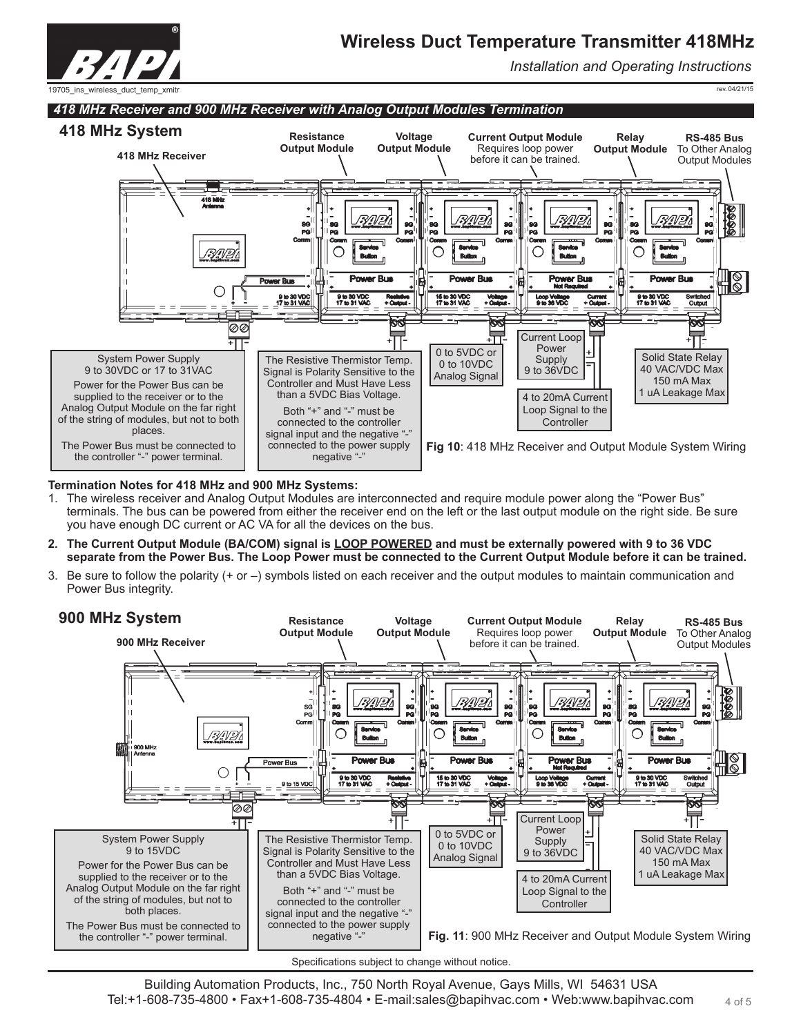

*Installation and Operating Instructions*

rev. 04/21/15

19705\_ins\_wireless\_duct\_temp\_xmitr



## **Termination Notes for 418 MHz and 900 MHz Systems:**

- 1. The wireless receiver and Analog Output Modules are interconnected and require module power along the "Power Bus" terminals. The bus can be powered from either the receiver end on the left or the last output module on the right side. Be sure you have enough DC current or AC VA for all the devices on the bus.
- **2. The Current Output Module (BA/COM) signal is LOOP POWERED and must be externally powered with 9 to 36 VDC separate from the Power Bus. The Loop Power must be connected to the Current Output Module before it can be trained.**
- 3. Be sure to follow the polarity (+ or –) symbols listed on each receiver and the output modules to maintain communication and Power Bus integrity.



Specifications subject to change without notice.